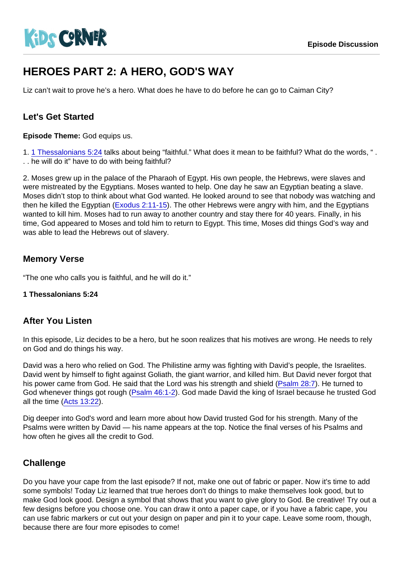# HEROES PART 2: A HERO, GOD'S WAY

Liz can't wait to prove he's a hero. What does he have to do before he can go to Caiman City?

# Let's Get Started

Episode Theme: God equips us.

1. [1 Thessalonians 5:24](https://www.biblegateway.com/passage/?search=1+Thessalonians+5:24) talks about being "faithful." What does it mean to be faithful? What do the words, " . . . he will do it" have to do with being faithful?

2. Moses grew up in the palace of the Pharaoh of Egypt. His own people, the Hebrews, were slaves and were mistreated by the Egyptians. Moses wanted to help. One day he saw an Egyptian beating a slave. Moses didn't stop to think about what God wanted. He looked around to see that nobody was watching and then he killed the Egyptian ([Exodus 2:11-15\)](https://www.biblegateway.com/passage/?search=Exodus+2:11-15). The other Hebrews were angry with him, and the Egyptians wanted to kill him. Moses had to run away to another country and stay there for 40 years. Finally, in his time, God appeared to Moses and told him to return to Egypt. This time, Moses did things God's way and was able to lead the Hebrews out of slavery.

## Memory Verse

"The one who calls you is faithful, and he will do it."

1 Thessalonians 5:24

#### After You Listen

In this episode, Liz decides to be a hero, but he soon realizes that his motives are wrong. He needs to rely on God and do things his way.

David was a hero who relied on God. The Philistine army was fighting with David's people, the Israelites. David went by himself to fight against Goliath, the giant warrior, and killed him. But David never forgot that his power came from God. He said that the Lord was his strength and shield ([Psalm 28:7\)](https://www.biblegateway.com/passage/?search=Psalm+28:7). He turned to God whenever things got rough [\(Psalm 46:1-2](https://www.biblegateway.com/passage/?search=Psalm+46:1-2)). God made David the king of Israel because he trusted God all the time ([Acts 13:22\)](https://www.biblegateway.com/passage/?search=Acts+13:22).

Dig deeper into God's word and learn more about how David trusted God for his strength. Many of the Psalms were written by David — his name appears at the top. Notice the final verses of his Psalms and how often he gives all the credit to God.

## **Challenge**

Do you have your cape from the last episode? If not, make one out of fabric or paper. Now it's time to add some symbols! Today Liz learned that true heroes don't do things to make themselves look good, but to make God look good. Design a symbol that shows that you want to give glory to God. Be creative! Try out a few designs before you choose one. You can draw it onto a paper cape, or if you have a fabric cape, you can use fabric markers or cut out your design on paper and pin it to your cape. Leave some room, though, because there are four more episodes to come!